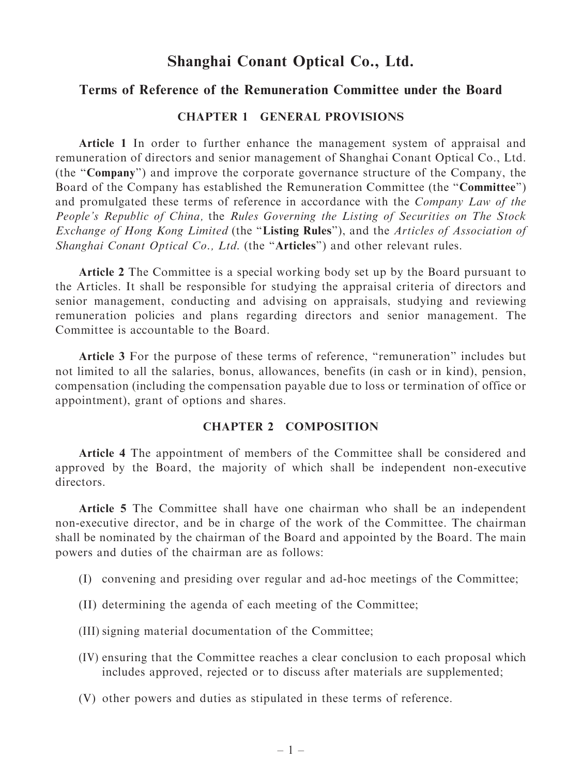# Shanghai Conant Optical Co., Ltd.

## Terms of Reference of the Remuneration Committee under the Board

### CHAPTER 1 GENERAL PROVISIONS

Article 1 In order to further enhance the management system of appraisal and remuneration of directors and senior management of Shanghai Conant Optical Co., Ltd. (the ''Company'') and improve the corporate governance structure of the Company, the Board of the Company has established the Remuneration Committee (the "Committee") and promulgated these terms of reference in accordance with the Company Law of the People's Republic of China, the Rules Governing the Listing of Securities on The Stock Exchange of Hong Kong Limited (the "Listing Rules"), and the Articles of Association of Shanghai Conant Optical Co., Ltd. (the "Articles") and other relevant rules.

Article 2 The Committee is a special working body set up by the Board pursuant to the Articles. It shall be responsible for studying the appraisal criteria of directors and senior management, conducting and advising on appraisals, studying and reviewing remuneration policies and plans regarding directors and senior management. The Committee is accountable to the Board.

Article 3 For the purpose of these terms of reference, ''remuneration'' includes but not limited to all the salaries, bonus, allowances, benefits (in cash or in kind), pension, compensation (including the compensation payable due to loss or termination of office or appointment), grant of options and shares.

### CHAPTER 2 COMPOSITION

Article 4 The appointment of members of the Committee shall be considered and approved by the Board, the majority of which shall be independent non-executive directors.

Article 5 The Committee shall have one chairman who shall be an independent non-executive director, and be in charge of the work of the Committee. The chairman shall be nominated by the chairman of the Board and appointed by the Board. The main powers and duties of the chairman are as follows:

- (I) convening and presiding over regular and ad-hoc meetings of the Committee;
- (II) determining the agenda of each meeting of the Committee;
- (III) signing material documentation of the Committee;
- (IV) ensuring that the Committee reaches a clear conclusion to each proposal which includes approved, rejected or to discuss after materials are supplemented;
- (V) other powers and duties as stipulated in these terms of reference.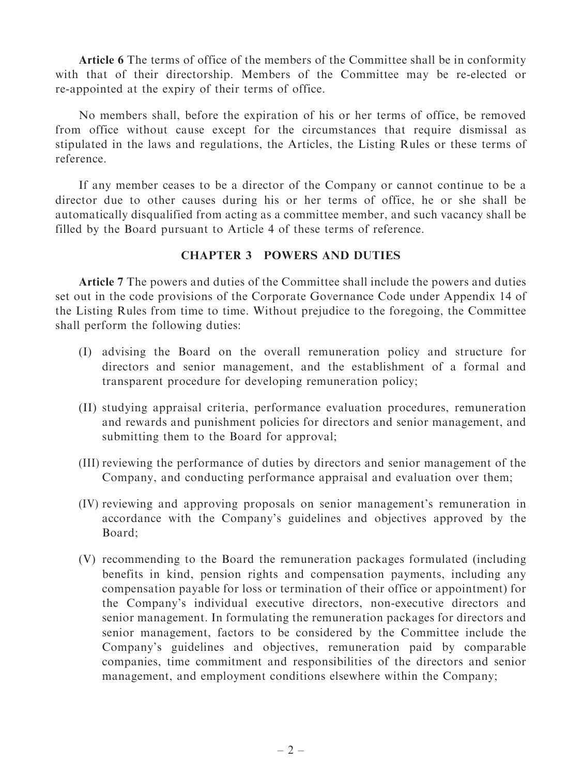Article 6 The terms of office of the members of the Committee shall be in conformity with that of their directorship. Members of the Committee may be re-elected or re-appointed at the expiry of their terms of office.

No members shall, before the expiration of his or her terms of office, be removed from office without cause except for the circumstances that require dismissal as stipulated in the laws and regulations, the Articles, the Listing Rules or these terms of reference.

If any member ceases to be a director of the Company or cannot continue to be a director due to other causes during his or her terms of office, he or she shall be automatically disqualified from acting as a committee member, and such vacancy shall be filled by the Board pursuant to Article 4 of these terms of reference.

### CHAPTER 3 POWERS AND DUTIES

Article 7 The powers and duties of the Committee shall include the powers and duties set out in the code provisions of the Corporate Governance Code under Appendix 14 of the Listing Rules from time to time. Without prejudice to the foregoing, the Committee shall perform the following duties:

- (I) advising the Board on the overall remuneration policy and structure for directors and senior management, and the establishment of a formal and transparent procedure for developing remuneration policy;
- (II) studying appraisal criteria, performance evaluation procedures, remuneration and rewards and punishment policies for directors and senior management, and submitting them to the Board for approval;
- (III) reviewing the performance of duties by directors and senior management of the Company, and conducting performance appraisal and evaluation over them;
- (IV) reviewing and approving proposals on senior management's remuneration in accordance with the Company's guidelines and objectives approved by the Board;
- (V) recommending to the Board the remuneration packages formulated (including benefits in kind, pension rights and compensation payments, including any compensation payable for loss or termination of their office or appointment) for the Company's individual executive directors, non-executive directors and senior management. In formulating the remuneration packages for directors and senior management, factors to be considered by the Committee include the Company's guidelines and objectives, remuneration paid by comparable companies, time commitment and responsibilities of the directors and senior management, and employment conditions elsewhere within the Company;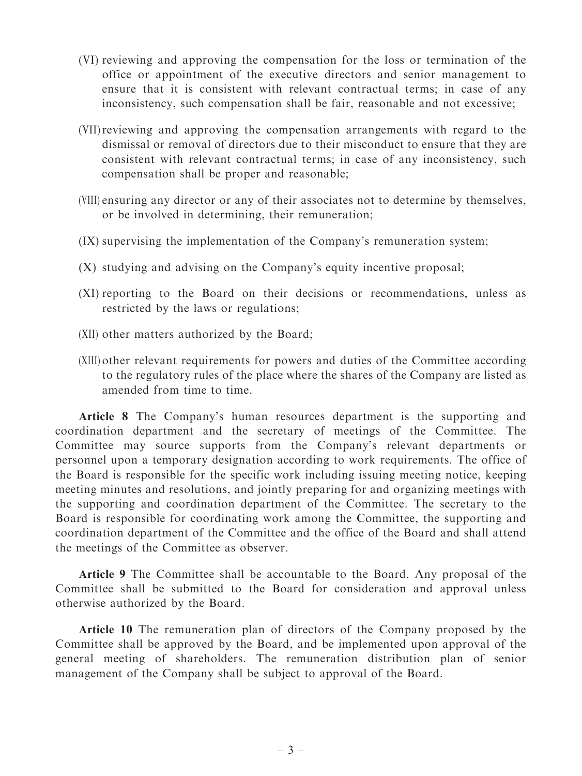- (VI) reviewing and approving the compensation for the loss or termination of the office or appointment of the executive directors and senior management to ensure that it is consistent with relevant contractual terms; in case of any inconsistency, such compensation shall be fair, reasonable and not excessive;
- (VII)reviewing and approving the compensation arrangements with regard to the dismissal or removal of directors due to their misconduct to ensure that they are consistent with relevant contractual terms; in case of any inconsistency, such compensation shall be proper and reasonable;
- (VIII) ensuring any director or any of their associates not to determine by themselves, or be involved in determining, their remuneration;
- (IX) supervising the implementation of the Company's remuneration system;
- (X) studying and advising on the Company's equity incentive proposal;
- (XI) reporting to the Board on their decisions or recommendations, unless as restricted by the laws or regulations;
- (XII) other matters authorized by the Board;
- (XIII) other relevant requirements for powers and duties of the Committee according to the regulatory rules of the place where the shares of the Company are listed as amended from time to time.

Article 8 The Company's human resources department is the supporting and coordination department and the secretary of meetings of the Committee. The Committee may source supports from the Company's relevant departments or personnel upon a temporary designation according to work requirements. The office of the Board is responsible for the specific work including issuing meeting notice, keeping meeting minutes and resolutions, and jointly preparing for and organizing meetings with the supporting and coordination department of the Committee. The secretary to the Board is responsible for coordinating work among the Committee, the supporting and coordination department of the Committee and the office of the Board and shall attend the meetings of the Committee as observer.

Article 9 The Committee shall be accountable to the Board. Any proposal of the Committee shall be submitted to the Board for consideration and approval unless otherwise authorized by the Board.

Article 10 The remuneration plan of directors of the Company proposed by the Committee shall be approved by the Board, and be implemented upon approval of the general meeting of shareholders. The remuneration distribution plan of senior management of the Company shall be subject to approval of the Board.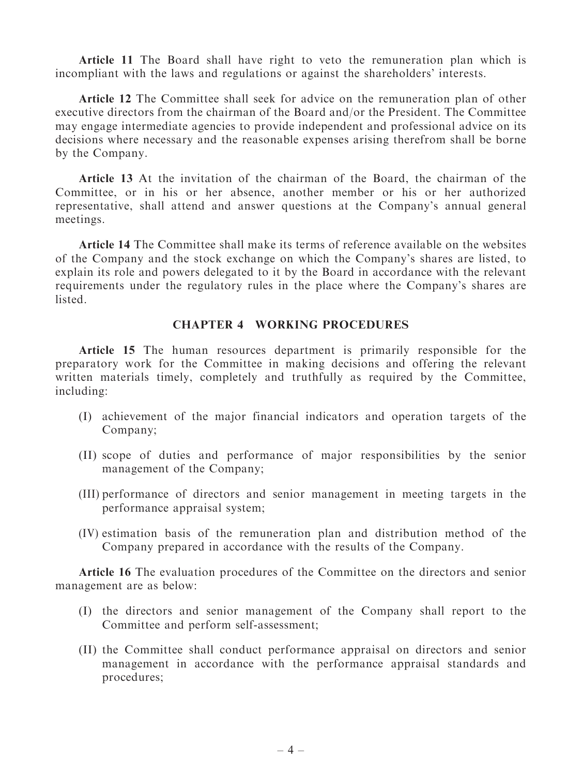Article 11 The Board shall have right to veto the remuneration plan which is incompliant with the laws and regulations or against the shareholders' interests.

Article 12 The Committee shall seek for advice on the remuneration plan of other executive directors from the chairman of the Board and/or the President. The Committee may engage intermediate agencies to provide independent and professional advice on its decisions where necessary and the reasonable expenses arising therefrom shall be borne by the Company.

Article 13 At the invitation of the chairman of the Board, the chairman of the Committee, or in his or her absence, another member or his or her authorized representative, shall attend and answer questions at the Company's annual general meetings.

Article 14 The Committee shall make its terms of reference available on the websites of the Company and the stock exchange on which the Company's shares are listed, to explain its role and powers delegated to it by the Board in accordance with the relevant requirements under the regulatory rules in the place where the Company's shares are listed.

### CHAPTER 4 WORKING PROCEDURES

Article 15 The human resources department is primarily responsible for the preparatory work for the Committee in making decisions and offering the relevant written materials timely, completely and truthfully as required by the Committee, including:

- (I) achievement of the major financial indicators and operation targets of the Company;
- (II) scope of duties and performance of major responsibilities by the senior management of the Company;
- (III) performance of directors and senior management in meeting targets in the performance appraisal system;
- (IV) estimation basis of the remuneration plan and distribution method of the Company prepared in accordance with the results of the Company.

Article 16 The evaluation procedures of the Committee on the directors and senior management are as below:

- (I) the directors and senior management of the Company shall report to the Committee and perform self-assessment;
- (II) the Committee shall conduct performance appraisal on directors and senior management in accordance with the performance appraisal standards and procedures;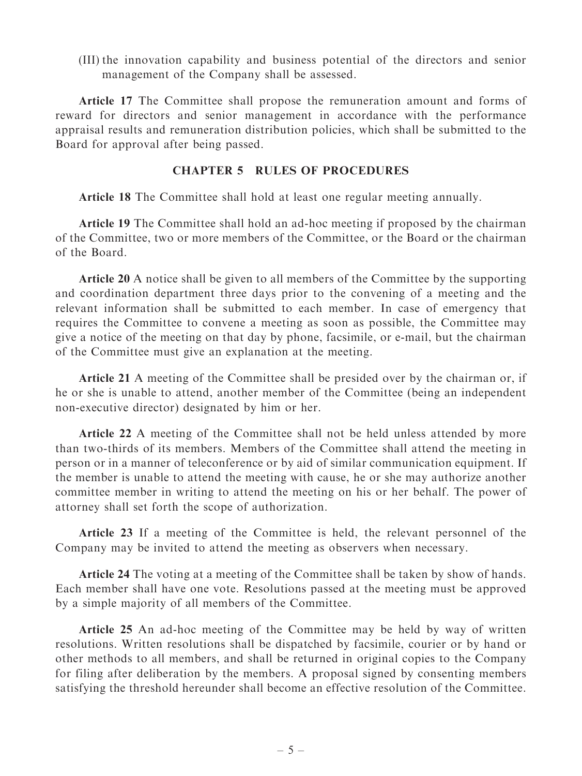(III) the innovation capability and business potential of the directors and senior management of the Company shall be assessed.

Article 17 The Committee shall propose the remuneration amount and forms of reward for directors and senior management in accordance with the performance appraisal results and remuneration distribution policies, which shall be submitted to the Board for approval after being passed.

### CHAPTER 5 RULES OF PROCEDURES

Article 18 The Committee shall hold at least one regular meeting annually.

Article 19 The Committee shall hold an ad-hoc meeting if proposed by the chairman of the Committee, two or more members of the Committee, or the Board or the chairman of the Board.

Article 20 A notice shall be given to all members of the Committee by the supporting and coordination department three days prior to the convening of a meeting and the relevant information shall be submitted to each member. In case of emergency that requires the Committee to convene a meeting as soon as possible, the Committee may give a notice of the meeting on that day by phone, facsimile, or e-mail, but the chairman of the Committee must give an explanation at the meeting.

Article 21 A meeting of the Committee shall be presided over by the chairman or, if he or she is unable to attend, another member of the Committee (being an independent non-executive director) designated by him or her.

Article 22 A meeting of the Committee shall not be held unless attended by more than two-thirds of its members. Members of the Committee shall attend the meeting in person or in a manner of teleconference or by aid of similar communication equipment. If the member is unable to attend the meeting with cause, he or she may authorize another committee member in writing to attend the meeting on his or her behalf. The power of attorney shall set forth the scope of authorization.

Article 23 If a meeting of the Committee is held, the relevant personnel of the Company may be invited to attend the meeting as observers when necessary.

Article 24 The voting at a meeting of the Committee shall be taken by show of hands. Each member shall have one vote. Resolutions passed at the meeting must be approved by a simple majority of all members of the Committee.

Article 25 An ad-hoc meeting of the Committee may be held by way of written resolutions. Written resolutions shall be dispatched by facsimile, courier or by hand or other methods to all members, and shall be returned in original copies to the Company for filing after deliberation by the members. A proposal signed by consenting members satisfying the threshold hereunder shall become an effective resolution of the Committee.